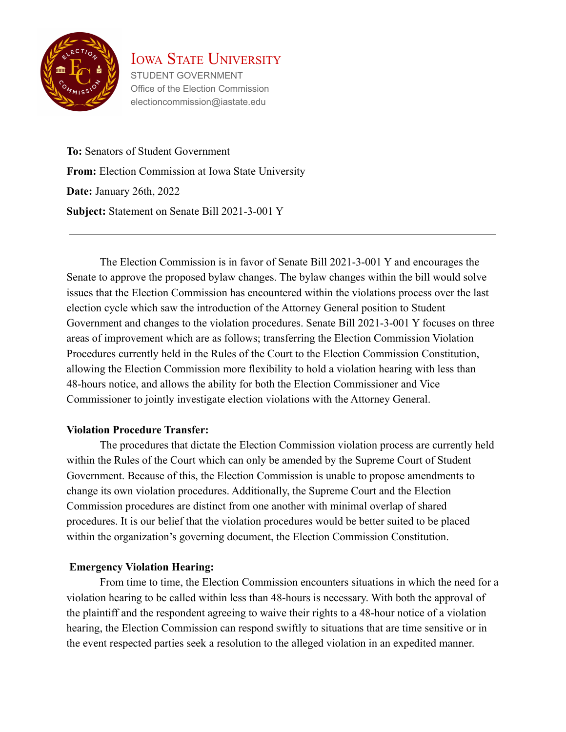

STUDENT GOVERNMENT Office of the Election Commission electioncommission@iastate.edu

**To:** Senators of Student Government **From:** Election Commission at Iowa State University **Date:** January 26th, 2022 **Subject:** Statement on Senate Bill 2021-3-001 Y

The Election Commission is in favor of Senate Bill 2021-3-001 Y and encourages the Senate to approve the proposed bylaw changes. The bylaw changes within the bill would solve issues that the Election Commission has encountered within the violations process over the last election cycle which saw the introduction of the Attorney General position to Student Government and changes to the violation procedures. Senate Bill 2021-3-001 Y focuses on three areas of improvement which are as follows; transferring the Election Commission Violation Procedures currently held in the Rules of the Court to the Election Commission Constitution, allowing the Election Commission more flexibility to hold a violation hearing with less than 48-hours notice, and allows the ability for both the Election Commissioner and Vice Commissioner to jointly investigate election violations with the Attorney General.

#### **Violation Procedure Transfer:**

The procedures that dictate the Election Commission violation process are currently held within the Rules of the Court which can only be amended by the Supreme Court of Student Government. Because of this, the Election Commission is unable to propose amendments to change its own violation procedures. Additionally, the Supreme Court and the Election Commission procedures are distinct from one another with minimal overlap of shared procedures. It is our belief that the violation procedures would be better suited to be placed within the organization's governing document, the Election Commission Constitution.

### **Emergency Violation Hearing:**

From time to time, the Election Commission encounters situations in which the need for a violation hearing to be called within less than 48-hours is necessary. With both the approval of the plaintiff and the respondent agreeing to waive their rights to a 48-hour notice of a violation hearing, the Election Commission can respond swiftly to situations that are time sensitive or in the event respected parties seek a resolution to the alleged violation in an expedited manner.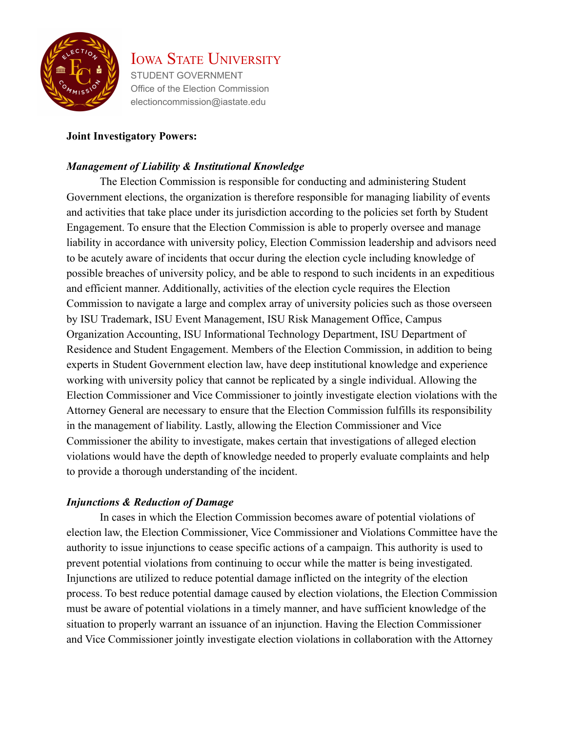

STUDENT GOVERNMENT Office of the Election Commission electioncommission@iastate.edu

#### **Joint Investigatory Powers:**

#### *Management of Liability & Institutional Knowledge*

The Election Commission is responsible for conducting and administering Student Government elections, the organization is therefore responsible for managing liability of events and activities that take place under its jurisdiction according to the policies set forth by Student Engagement. To ensure that the Election Commission is able to properly oversee and manage liability in accordance with university policy, Election Commission leadership and advisors need to be acutely aware of incidents that occur during the election cycle including knowledge of possible breaches of university policy, and be able to respond to such incidents in an expeditious and efficient manner. Additionally, activities of the election cycle requires the Election Commission to navigate a large and complex array of university policies such as those overseen by ISU Trademark, ISU Event Management, ISU Risk Management Office, Campus Organization Accounting, ISU Informational Technology Department, ISU Department of Residence and Student Engagement. Members of the Election Commission, in addition to being experts in Student Government election law, have deep institutional knowledge and experience working with university policy that cannot be replicated by a single individual. Allowing the Election Commissioner and Vice Commissioner to jointly investigate election violations with the Attorney General are necessary to ensure that the Election Commission fulfills its responsibility in the management of liability. Lastly, allowing the Election Commissioner and Vice Commissioner the ability to investigate, makes certain that investigations of alleged election violations would have the depth of knowledge needed to properly evaluate complaints and help to provide a thorough understanding of the incident.

#### *Injunctions & Reduction of Damage*

In cases in which the Election Commission becomes aware of potential violations of election law, the Election Commissioner, Vice Commissioner and Violations Committee have the authority to issue injunctions to cease specific actions of a campaign. This authority is used to prevent potential violations from continuing to occur while the matter is being investigated. Injunctions are utilized to reduce potential damage inflicted on the integrity of the election process. To best reduce potential damage caused by election violations, the Election Commission must be aware of potential violations in a timely manner, and have sufficient knowledge of the situation to properly warrant an issuance of an injunction. Having the Election Commissioner and Vice Commissioner jointly investigate election violations in collaboration with the Attorney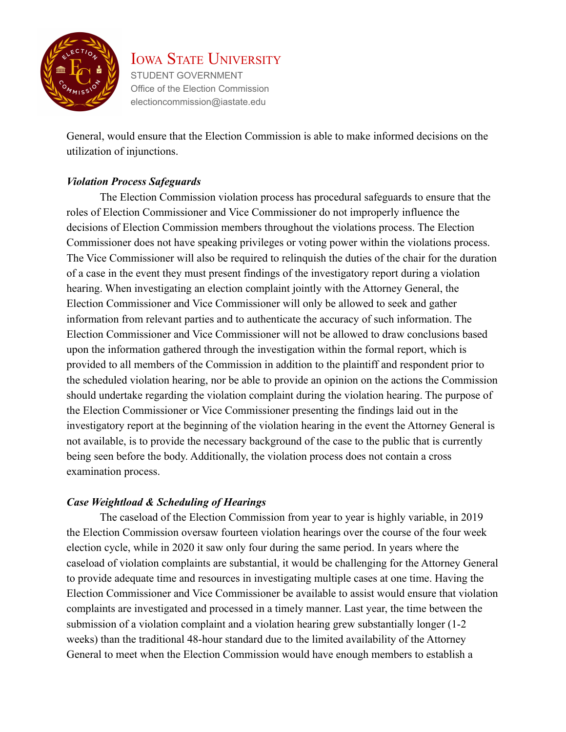

STUDENT GOVERNMENT Office of the Election Commission electioncommission@iastate.edu

General, would ensure that the Election Commission is able to make informed decisions on the utilization of injunctions.

#### *Violation Process Safeguards*

The Election Commission violation process has procedural safeguards to ensure that the roles of Election Commissioner and Vice Commissioner do not improperly influence the decisions of Election Commission members throughout the violations process. The Election Commissioner does not have speaking privileges or voting power within the violations process. The Vice Commissioner will also be required to relinquish the duties of the chair for the duration of a case in the event they must present findings of the investigatory report during a violation hearing. When investigating an election complaint jointly with the Attorney General, the Election Commissioner and Vice Commissioner will only be allowed to seek and gather information from relevant parties and to authenticate the accuracy of such information. The Election Commissioner and Vice Commissioner will not be allowed to draw conclusions based upon the information gathered through the investigation within the formal report, which is provided to all members of the Commission in addition to the plaintiff and respondent prior to the scheduled violation hearing, nor be able to provide an opinion on the actions the Commission should undertake regarding the violation complaint during the violation hearing. The purpose of the Election Commissioner or Vice Commissioner presenting the findings laid out in the investigatory report at the beginning of the violation hearing in the event the Attorney General is not available, is to provide the necessary background of the case to the public that is currently being seen before the body. Additionally, the violation process does not contain a cross examination process.

#### *Case Weightload & Scheduling of Hearings*

The caseload of the Election Commission from year to year is highly variable, in 2019 the Election Commission oversaw fourteen violation hearings over the course of the four week election cycle, while in 2020 it saw only four during the same period. In years where the caseload of violation complaints are substantial, it would be challenging for the Attorney General to provide adequate time and resources in investigating multiple cases at one time. Having the Election Commissioner and Vice Commissioner be available to assist would ensure that violation complaints are investigated and processed in a timely manner. Last year, the time between the submission of a violation complaint and a violation hearing grew substantially longer (1-2 weeks) than the traditional 48-hour standard due to the limited availability of the Attorney General to meet when the Election Commission would have enough members to establish a